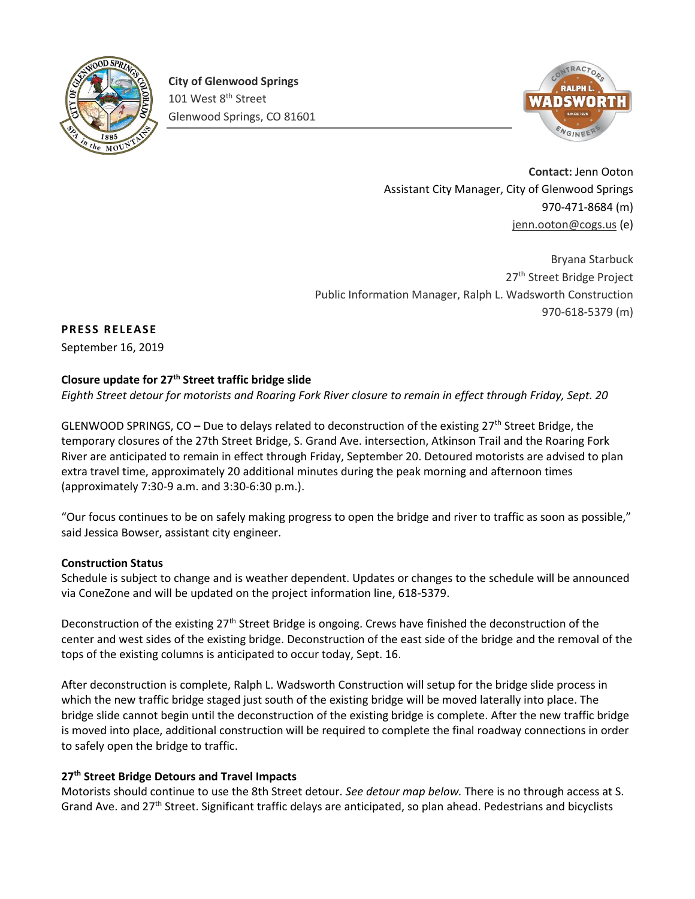

**City of Glenwood Springs** 101 West 8<sup>th</sup> Street Glenwood Springs, CO 81601



**Contact:** Jenn Ooton Assistant City Manager, City of Glenwood Springs 970-471-8684 (m) [jenn.ooton@cogs.us](mailto:jenn.ooton@cogs.us) (e)

Bryana Starbuck 27<sup>th</sup> Street Bridge Project Public Information Manager, Ralph L. Wadsworth Construction 970-618-5379 (m)

# **PRESS RELEASE**

September 16, 2019

## **Closure update for 27th Street traffic bridge slide**

*Eighth Street detour for motorists and Roaring Fork River closure to remain in effect through Friday, Sept. 20*

GLENWOOD SPRINGS,  $CO - Due to$  delays related to deconstruction of the existing 27<sup>th</sup> Street Bridge, the temporary closures of the 27th Street Bridge, S. Grand Ave. intersection, Atkinson Trail and the Roaring Fork River are anticipated to remain in effect through Friday, September 20. Detoured motorists are advised to plan extra travel time, approximately 20 additional minutes during the peak morning and afternoon times (approximately 7:30-9 a.m. and 3:30-6:30 p.m.).

"Our focus continues to be on safely making progress to open the bridge and river to traffic as soon as possible," said Jessica Bowser, assistant city engineer.

## **Construction Status**

Schedule is subject to change and is weather dependent. Updates or changes to the schedule will be announced via ConeZone and will be updated on the project information line, 618-5379.

Deconstruction of the existing 27<sup>th</sup> Street Bridge is ongoing. Crews have finished the deconstruction of the center and west sides of the existing bridge. Deconstruction of the east side of the bridge and the removal of the tops of the existing columns is anticipated to occur today, Sept. 16.

After deconstruction is complete, Ralph L. Wadsworth Construction will setup for the bridge slide process in which the new traffic bridge staged just south of the existing bridge will be moved laterally into place. The bridge slide cannot begin until the deconstruction of the existing bridge is complete. After the new traffic bridge is moved into place, additional construction will be required to complete the final roadway connections in order to safely open the bridge to traffic.

## **27th Street Bridge Detours and Travel Impacts**

Motorists should continue to use the 8th Street detour. *See detour map below.* There is no through access at S. Grand Ave. and 27th Street. Significant traffic delays are anticipated, so plan ahead. Pedestrians and bicyclists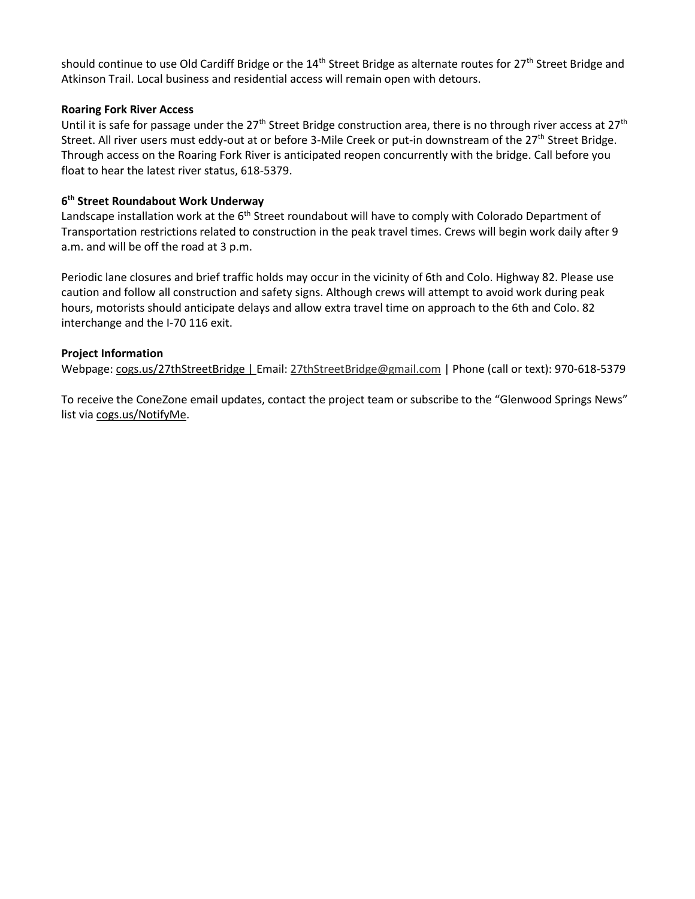should continue to use Old Cardiff Bridge or the 14<sup>th</sup> Street Bridge as alternate routes for 27<sup>th</sup> Street Bridge and Atkinson Trail. Local business and residential access will remain open with detours.

#### **Roaring Fork River Access**

Until it is safe for passage under the  $27<sup>th</sup>$  Street Bridge construction area, there is no through river access at  $27<sup>th</sup>$ Street. All river users must eddy-out at or before 3-Mile Creek or put-in downstream of the 27<sup>th</sup> Street Bridge. Through access on the Roaring Fork River is anticipated reopen concurrently with the bridge. Call before you float to hear the latest river status, 618-5379.

### **6 th Street Roundabout Work Underway**

Landscape installation work at the  $6<sup>th</sup>$  Street roundabout will have to comply with Colorado Department of Transportation restrictions related to construction in the peak travel times. Crews will begin work daily after 9 a.m. and will be off the road at 3 p.m.

Periodic lane closures and brief traffic holds may occur in the vicinity of 6th and Colo. Highway 82. Please use caution and follow all construction and safety signs. Although crews will attempt to avoid work during peak hours, motorists should anticipate delays and allow extra travel time on approach to the 6th and Colo. 82 interchange and the I-70 116 exit.

### **Project Information**

Webpage: [cogs.us/27thStreetBridge |](http://cogs.us/441/27th-Street-Bridge) Email[: 27thStreetBridge@gmail.com](mailto:27thStreetBridge@gmail.com) | Phone (call or text): 970-618-5379

To receive the ConeZone email updates, contact the project team or subscribe to the "Glenwood Springs News" list via [cogs.us/NotifyMe.](http://www.cogs.us/NotifyMe)